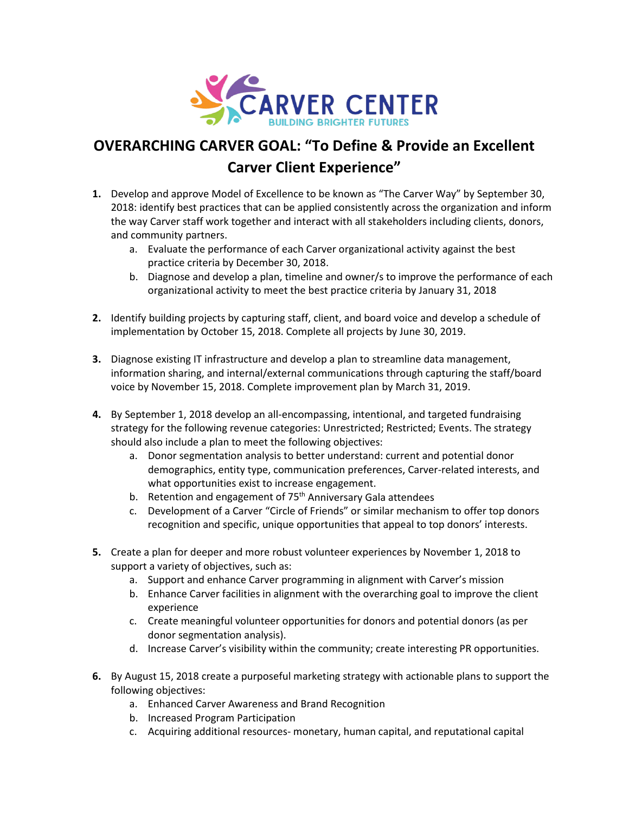

## **OVERARCHING CARVER GOAL: "To Define & Provide an Excellent Carver Client Experience"**

- **1.** Develop and approve Model of Excellence to be known as "The Carver Way" by September 30, 2018: identify best practices that can be applied consistently across the organization and inform the way Carver staff work together and interact with all stakeholders including clients, donors, and community partners.
	- a. Evaluate the performance of each Carver organizational activity against the best practice criteria by December 30, 2018.
	- b. Diagnose and develop a plan, timeline and owner/s to improve the performance of each organizational activity to meet the best practice criteria by January 31, 2018
- **2.** Identify building projects by capturing staff, client, and board voice and develop a schedule of implementation by October 15, 2018. Complete all projects by June 30, 2019.
- **3.** Diagnose existing IT infrastructure and develop a plan to streamline data management, information sharing, and internal/external communications through capturing the staff/board voice by November 15, 2018. Complete improvement plan by March 31, 2019.
- **4.** By September 1, 2018 develop an all-encompassing, intentional, and targeted fundraising strategy for the following revenue categories: Unrestricted; Restricted; Events. The strategy should also include a plan to meet the following objectives:
	- a. Donor segmentation analysis to better understand: current and potential donor demographics, entity type, communication preferences, Carver-related interests, and what opportunities exist to increase engagement.
	- b. Retention and engagement of 75<sup>th</sup> Anniversary Gala attendees
	- c. Development of a Carver "Circle of Friends" or similar mechanism to offer top donors recognition and specific, unique opportunities that appeal to top donors' interests.
- **5.** Create a plan for deeper and more robust volunteer experiences by November 1, 2018 to support a variety of objectives, such as:
	- a. Support and enhance Carver programming in alignment with Carver's mission
	- b. Enhance Carver facilities in alignment with the overarching goal to improve the client experience
	- c. Create meaningful volunteer opportunities for donors and potential donors (as per donor segmentation analysis).
	- d. Increase Carver's visibility within the community; create interesting PR opportunities.
- **6.** By August 15, 2018 create a purposeful marketing strategy with actionable plans to support the following objectives:
	- a. Enhanced Carver Awareness and Brand Recognition
	- b. Increased Program Participation
	- c. Acquiring additional resources- monetary, human capital, and reputational capital